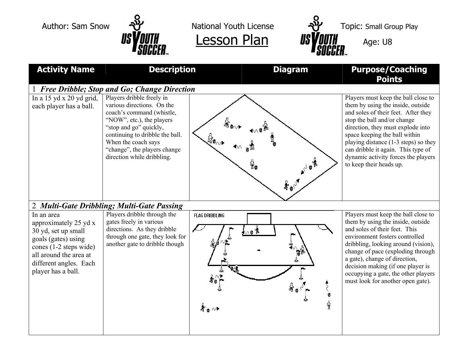

Author: Sam Snow  $\frac{1}{2}$  National Youth License  $\frac{1}{2}$  Topic: Small Group Play



| <b>Activity Name</b>                                                                                                                                                                  | <b>Description</b>                                                                                                                                                                                                                                                  | <b>Diagram</b>                                                          | <b>Purpose/Coaching</b><br><b>Points</b>                                                                                                                                                                                                                                                                                                                                       |  |  |
|---------------------------------------------------------------------------------------------------------------------------------------------------------------------------------------|---------------------------------------------------------------------------------------------------------------------------------------------------------------------------------------------------------------------------------------------------------------------|-------------------------------------------------------------------------|--------------------------------------------------------------------------------------------------------------------------------------------------------------------------------------------------------------------------------------------------------------------------------------------------------------------------------------------------------------------------------|--|--|
| 1 Free Dribble; Stop and Go; Change Direction                                                                                                                                         |                                                                                                                                                                                                                                                                     |                                                                         |                                                                                                                                                                                                                                                                                                                                                                                |  |  |
| In a $15$ yd x $20$ yd grid,<br>each player has a ball.                                                                                                                               | Players dribble freely in<br>various directions. On the<br>coach's command (whistle,<br>"NOW", etc.), the players<br>"stop and go" quickly,<br>continuing to dribble the ball.<br>When the coach says<br>"change", the players change<br>direction while dribbling. | စွဲနွ<br>$\textbf{A}_{\bullet}^{\circ}$                                 | Players must keep the ball close to<br>them by using the inside, outside<br>and soles of their feet. After they<br>stop the ball and/or change<br>direction, they must explode into<br>space keeping the ball within<br>playing distance (1-3 steps) so they<br>can dribble it again. This type of<br>dynamic activity forces the players<br>to keep their heads up.           |  |  |
| 2 Multi-Gate Dribbling; Multi-Gate Passing                                                                                                                                            |                                                                                                                                                                                                                                                                     |                                                                         |                                                                                                                                                                                                                                                                                                                                                                                |  |  |
| In an area<br>approximately 25 yd x<br>30 yd, set up small<br>goals (gates) using<br>cones (1-2 steps wide)<br>all around the area at<br>different angles. Each<br>player has a ball. | Players dribble through the<br>gates freely in various<br>directions. As they dribble<br>through one gate, they look for<br>another gate to dribble though                                                                                                          | <b>FLAG DRIBBLING</b><br><u>hov</u><br>$\clubsuit$ a $\rightsquigarrow$ | Players must keep the ball close to<br>them by using the inside, outside<br>and soles of their feet. This<br>environment fosters controlled<br>dribbling, looking around (vision),<br>change of pace (exploding through<br>a gate), change of direction,<br>decision making (if one player is<br>occupying a gate, the other players<br>must look for another open gate).<br>ĝ |  |  |